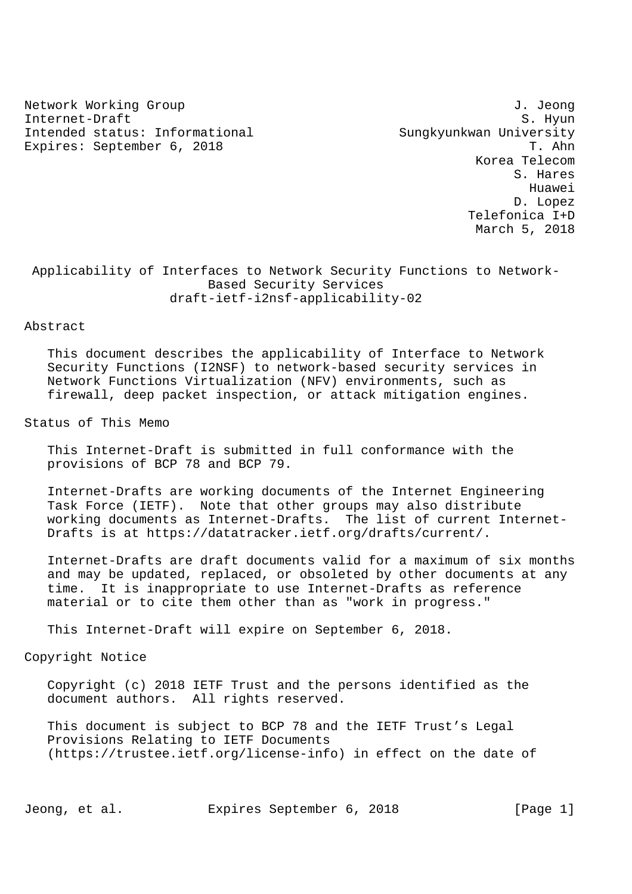Network Working Group J. Jeong Internet-Draft S. Hyun Intended status: Informational Sungkyunkwan University Expires: September 6, 2018 T. Ahn

 Korea Telecom S. Hares Huawei D. Lopez Telefonica I+D March 5, 2018

# Applicability of Interfaces to Network Security Functions to Network- Based Security Services draft-ietf-i2nsf-applicability-02

#### Abstract

 This document describes the applicability of Interface to Network Security Functions (I2NSF) to network-based security services in Network Functions Virtualization (NFV) environments, such as firewall, deep packet inspection, or attack mitigation engines.

### Status of This Memo

 This Internet-Draft is submitted in full conformance with the provisions of BCP 78 and BCP 79.

 Internet-Drafts are working documents of the Internet Engineering Task Force (IETF). Note that other groups may also distribute working documents as Internet-Drafts. The list of current Internet- Drafts is at https://datatracker.ietf.org/drafts/current/.

 Internet-Drafts are draft documents valid for a maximum of six months and may be updated, replaced, or obsoleted by other documents at any time. It is inappropriate to use Internet-Drafts as reference material or to cite them other than as "work in progress."

This Internet-Draft will expire on September 6, 2018.

### Copyright Notice

 Copyright (c) 2018 IETF Trust and the persons identified as the document authors. All rights reserved.

 This document is subject to BCP 78 and the IETF Trust's Legal Provisions Relating to IETF Documents (https://trustee.ietf.org/license-info) in effect on the date of

Jeong, et al. Expires September 6, 2018 [Page 1]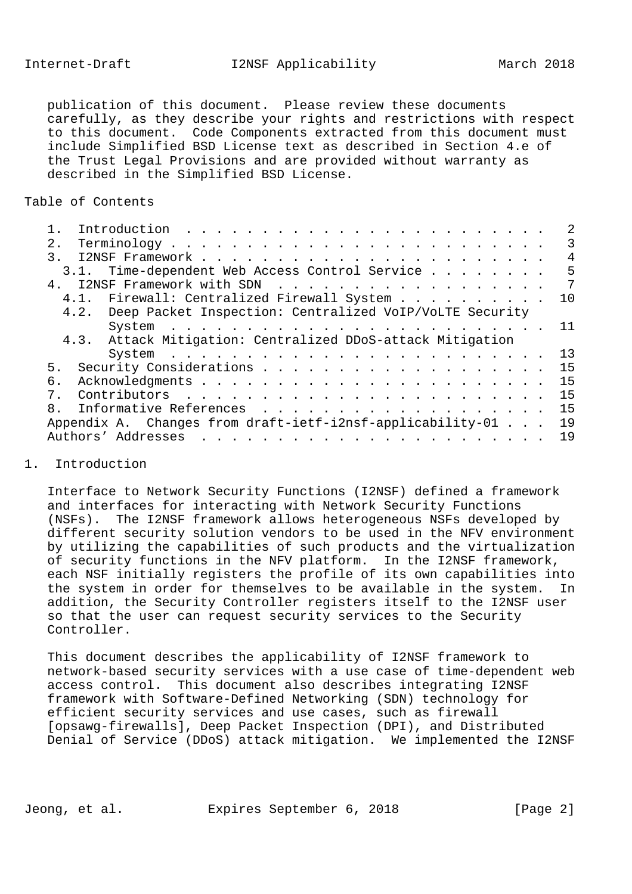Internet-Draft I2NSF Applicability March 2018

 publication of this document. Please review these documents carefully, as they describe your rights and restrictions with respect to this document. Code Components extracted from this document must include Simplified BSD License text as described in Section 4.e of the Trust Legal Provisions and are provided without warranty as described in the Simplified BSD License.

### Table of Contents

|                                                              | $\overline{2}$ |
|--------------------------------------------------------------|----------------|
| 2.1                                                          | 3              |
| $\overline{3}$ .                                             | 4              |
| 3.1. Time-dependent Web Access Control Service               | 5              |
| 4 <sup>1</sup>                                               | 7              |
| 4.1. Firewall: Centralized Firewall System                   | 10             |
| 4.2. Deep Packet Inspection: Centralized VoIP/VoLTE Security |                |
|                                                              | 11             |
| 4.3. Attack Mitigation: Centralized DDoS-attack Mitigation   |                |
|                                                              | 13             |
| 5.                                                           | 15             |
| б.                                                           | 15             |
| 7.                                                           | 15             |
| $\mathsf{R}$                                                 | 15             |
| Appendix A. Changes from draft-ietf-i2nsf-applicability-01   | 19             |
| Authors' Addresses                                           | 19             |
|                                                              |                |

### 1. Introduction

 Interface to Network Security Functions (I2NSF) defined a framework and interfaces for interacting with Network Security Functions (NSFs). The I2NSF framework allows heterogeneous NSFs developed by different security solution vendors to be used in the NFV environment by utilizing the capabilities of such products and the virtualization of security functions in the NFV platform. In the I2NSF framework, each NSF initially registers the profile of its own capabilities into the system in order for themselves to be available in the system. In addition, the Security Controller registers itself to the I2NSF user so that the user can request security services to the Security Controller.

 This document describes the applicability of I2NSF framework to network-based security services with a use case of time-dependent web access control. This document also describes integrating I2NSF framework with Software-Defined Networking (SDN) technology for efficient security services and use cases, such as firewall [opsawg-firewalls], Deep Packet Inspection (DPI), and Distributed Denial of Service (DDoS) attack mitigation. We implemented the I2NSF

Jeong, et al. Expires September 6, 2018 [Page 2]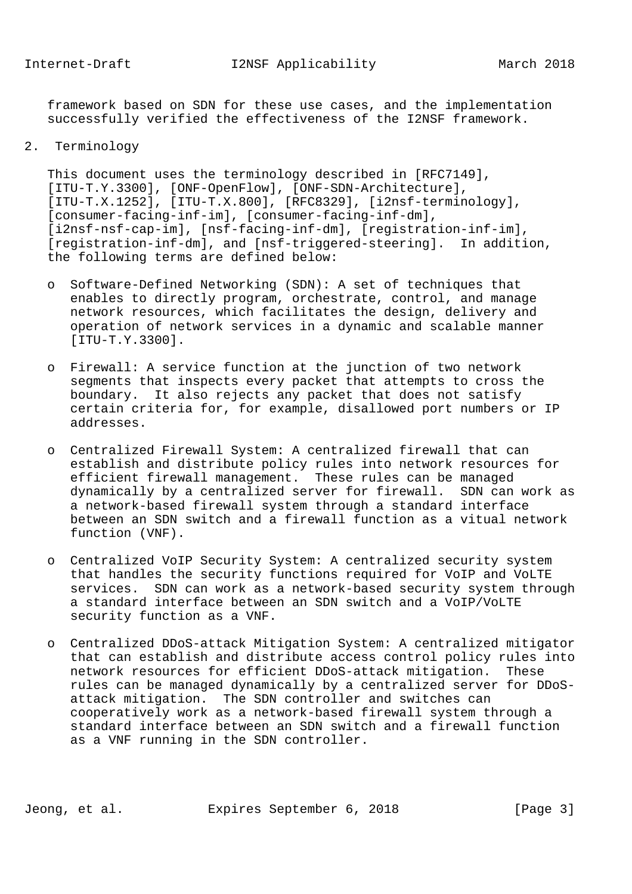framework based on SDN for these use cases, and the implementation successfully verified the effectiveness of the I2NSF framework.

### 2. Terminology

 This document uses the terminology described in [RFC7149], [ITU-T.Y.3300], [ONF-OpenFlow], [ONF-SDN-Architecture], [ITU-T.X.1252], [ITU-T.X.800], [RFC8329], [i2nsf-terminology], [consumer-facing-inf-im], [consumer-facing-inf-dm], [i2nsf-nsf-cap-im], [nsf-facing-inf-dm], [registration-inf-im], [registration-inf-dm], and [nsf-triggered-steering]. In addition, the following terms are defined below:

- o Software-Defined Networking (SDN): A set of techniques that enables to directly program, orchestrate, control, and manage network resources, which facilitates the design, delivery and operation of network services in a dynamic and scalable manner [ITU-T.Y.3300].
- o Firewall: A service function at the junction of two network segments that inspects every packet that attempts to cross the boundary. It also rejects any packet that does not satisfy certain criteria for, for example, disallowed port numbers or IP addresses.
- o Centralized Firewall System: A centralized firewall that can establish and distribute policy rules into network resources for efficient firewall management. These rules can be managed dynamically by a centralized server for firewall. SDN can work as a network-based firewall system through a standard interface between an SDN switch and a firewall function as a vitual network function (VNF).
- o Centralized VoIP Security System: A centralized security system that handles the security functions required for VoIP and VoLTE services. SDN can work as a network-based security system through a standard interface between an SDN switch and a VoIP/VoLTE security function as a VNF.
- o Centralized DDoS-attack Mitigation System: A centralized mitigator that can establish and distribute access control policy rules into network resources for efficient DDoS-attack mitigation. These rules can be managed dynamically by a centralized server for DDoS attack mitigation. The SDN controller and switches can cooperatively work as a network-based firewall system through a standard interface between an SDN switch and a firewall function as a VNF running in the SDN controller.

Jeong, et al. Expires September 6, 2018 [Page 3]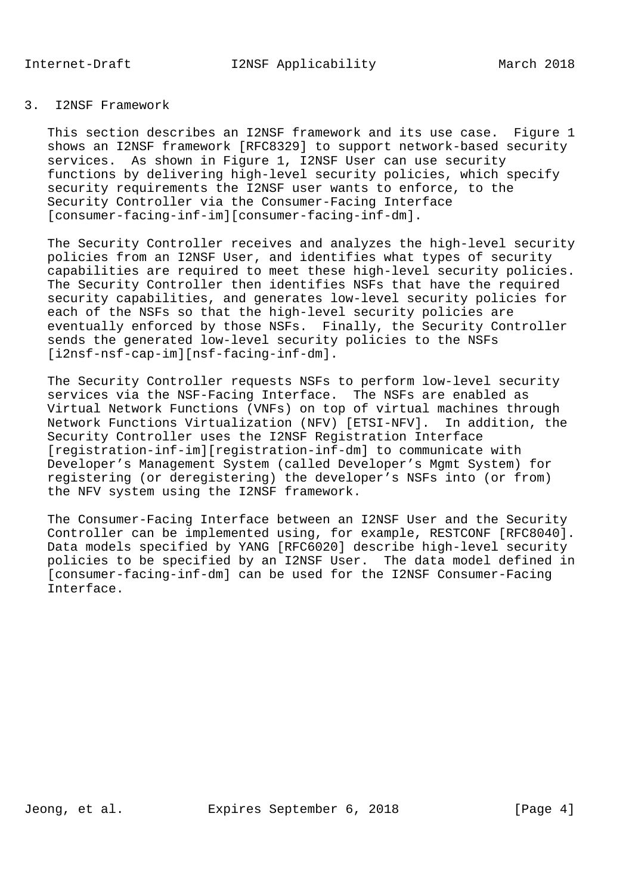This section describes an I2NSF framework and its use case. Figure 1 shows an I2NSF framework [RFC8329] to support network-based security services. As shown in Figure 1, I2NSF User can use security functions by delivering high-level security policies, which specify security requirements the I2NSF user wants to enforce, to the Security Controller via the Consumer-Facing Interface [consumer-facing-inf-im][consumer-facing-inf-dm].

 The Security Controller receives and analyzes the high-level security policies from an I2NSF User, and identifies what types of security capabilities are required to meet these high-level security policies. The Security Controller then identifies NSFs that have the required security capabilities, and generates low-level security policies for each of the NSFs so that the high-level security policies are eventually enforced by those NSFs. Finally, the Security Controller sends the generated low-level security policies to the NSFs [i2nsf-nsf-cap-im][nsf-facing-inf-dm].

 The Security Controller requests NSFs to perform low-level security services via the NSF-Facing Interface. The NSFs are enabled as Virtual Network Functions (VNFs) on top of virtual machines through Network Functions Virtualization (NFV) [ETSI-NFV]. In addition, the Security Controller uses the I2NSF Registration Interface [registration-inf-im][registration-inf-dm] to communicate with Developer's Management System (called Developer's Mgmt System) for registering (or deregistering) the developer's NSFs into (or from) the NFV system using the I2NSF framework.

 The Consumer-Facing Interface between an I2NSF User and the Security Controller can be implemented using, for example, RESTCONF [RFC8040]. Data models specified by YANG [RFC6020] describe high-level security policies to be specified by an I2NSF User. The data model defined in [consumer-facing-inf-dm] can be used for the I2NSF Consumer-Facing Interface.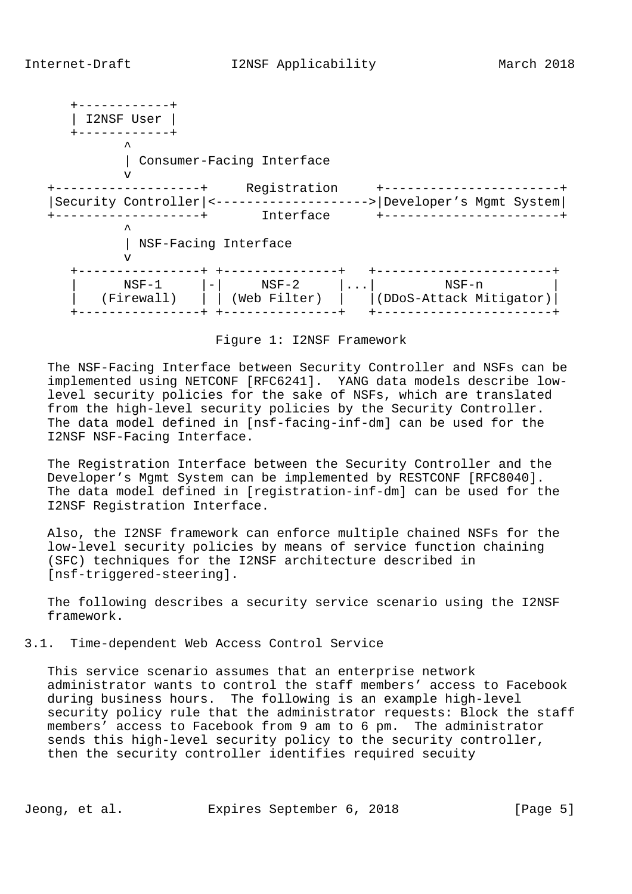+------------+ | I2NSF User | +------------+  $\mathcal{L}^{\mathcal{A}}$  and  $\mathcal{L}^{\mathcal{A}}$  and  $\mathcal{L}^{\mathcal{A}}$  | Consumer-Facing Interface v +-------------------+ Registration +-----------------------+ |Security Controller|<-------------------->|Developer's Mgmt System| +-------------------+ Interface +-----------------------+  $\mathcal{L}^{\mathcal{A}}$  and  $\mathcal{L}^{\mathcal{A}}$  and  $\mathcal{L}^{\mathcal{A}}$  | NSF-Facing Interface v +----------------+ +---------------+ +-----------------------+ | NSF-1 |-| NSF-2 |...| NSF-n | | (Firewall) | | (Web Filter) | |(DDoS-Attack Mitigator)| +----------------+ +---------------+ +-----------------------+

Figure 1: I2NSF Framework

 The NSF-Facing Interface between Security Controller and NSFs can be implemented using NETCONF [RFC6241]. YANG data models describe low level security policies for the sake of NSFs, which are translated from the high-level security policies by the Security Controller. The data model defined in [nsf-facing-inf-dm] can be used for the I2NSF NSF-Facing Interface.

 The Registration Interface between the Security Controller and the Developer's Mgmt System can be implemented by RESTCONF [RFC8040]. The data model defined in [registration-inf-dm] can be used for the I2NSF Registration Interface.

 Also, the I2NSF framework can enforce multiple chained NSFs for the low-level security policies by means of service function chaining (SFC) techniques for the I2NSF architecture described in [nsf-triggered-steering].

 The following describes a security service scenario using the I2NSF framework.

3.1. Time-dependent Web Access Control Service

 This service scenario assumes that an enterprise network administrator wants to control the staff members' access to Facebook during business hours. The following is an example high-level security policy rule that the administrator requests: Block the staff members' access to Facebook from 9 am to 6 pm. The administrator sends this high-level security policy to the security controller, then the security controller identifies required secuity

Jeong, et al. Expires September 6, 2018 [Page 5]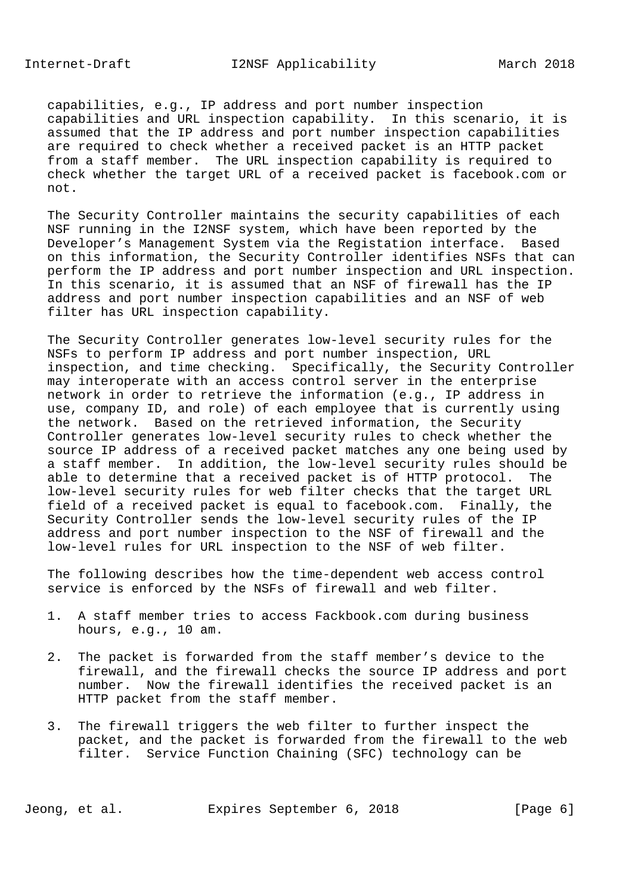Internet-Draft I2NSF Applicability March 2018

 capabilities, e.g., IP address and port number inspection capabilities and URL inspection capability. In this scenario, it is assumed that the IP address and port number inspection capabilities are required to check whether a received packet is an HTTP packet from a staff member. The URL inspection capability is required to check whether the target URL of a received packet is facebook.com or not.

 The Security Controller maintains the security capabilities of each NSF running in the I2NSF system, which have been reported by the Developer's Management System via the Registation interface. Based on this information, the Security Controller identifies NSFs that can perform the IP address and port number inspection and URL inspection. In this scenario, it is assumed that an NSF of firewall has the IP address and port number inspection capabilities and an NSF of web filter has URL inspection capability.

 The Security Controller generates low-level security rules for the NSFs to perform IP address and port number inspection, URL inspection, and time checking. Specifically, the Security Controller may interoperate with an access control server in the enterprise network in order to retrieve the information (e.g., IP address in use, company ID, and role) of each employee that is currently using the network. Based on the retrieved information, the Security Controller generates low-level security rules to check whether the source IP address of a received packet matches any one being used by a staff member. In addition, the low-level security rules should be able to determine that a received packet is of HTTP protocol. The low-level security rules for web filter checks that the target URL field of a received packet is equal to facebook.com. Finally, the Security Controller sends the low-level security rules of the IP address and port number inspection to the NSF of firewall and the low-level rules for URL inspection to the NSF of web filter.

 The following describes how the time-dependent web access control service is enforced by the NSFs of firewall and web filter.

- 1. A staff member tries to access Fackbook.com during business hours, e.g., 10 am.
- 2. The packet is forwarded from the staff member's device to the firewall, and the firewall checks the source IP address and port number. Now the firewall identifies the received packet is an HTTP packet from the staff member.
- 3. The firewall triggers the web filter to further inspect the packet, and the packet is forwarded from the firewall to the web filter. Service Function Chaining (SFC) technology can be

Jeong, et al. Expires September 6, 2018 [Page 6]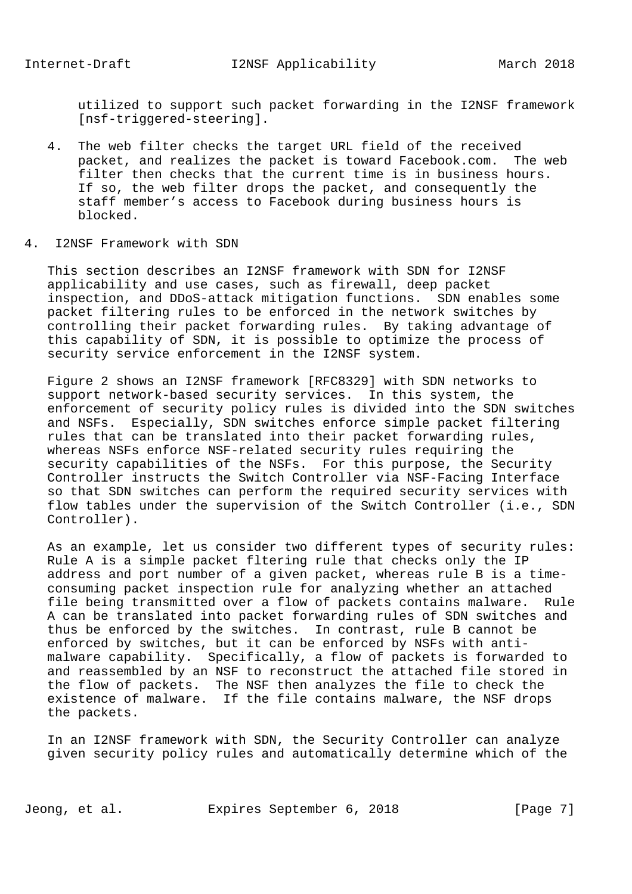utilized to support such packet forwarding in the I2NSF framework [nsf-triggered-steering].

- 4. The web filter checks the target URL field of the received packet, and realizes the packet is toward Facebook.com. The web filter then checks that the current time is in business hours. If so, the web filter drops the packet, and consequently the staff member's access to Facebook during business hours is blocked.
- 4. I2NSF Framework with SDN

 This section describes an I2NSF framework with SDN for I2NSF applicability and use cases, such as firewall, deep packet inspection, and DDoS-attack mitigation functions. SDN enables some packet filtering rules to be enforced in the network switches by controlling their packet forwarding rules. By taking advantage of this capability of SDN, it is possible to optimize the process of security service enforcement in the I2NSF system.

 Figure 2 shows an I2NSF framework [RFC8329] with SDN networks to support network-based security services. In this system, the enforcement of security policy rules is divided into the SDN switches and NSFs. Especially, SDN switches enforce simple packet filtering rules that can be translated into their packet forwarding rules, whereas NSFs enforce NSF-related security rules requiring the security capabilities of the NSFs. For this purpose, the Security Controller instructs the Switch Controller via NSF-Facing Interface so that SDN switches can perform the required security services with flow tables under the supervision of the Switch Controller (i.e., SDN Controller).

 As an example, let us consider two different types of security rules: Rule A is a simple packet fltering rule that checks only the IP address and port number of a given packet, whereas rule B is a time consuming packet inspection rule for analyzing whether an attached file being transmitted over a flow of packets contains malware. Rule A can be translated into packet forwarding rules of SDN switches and thus be enforced by the switches. In contrast, rule B cannot be enforced by switches, but it can be enforced by NSFs with anti malware capability. Specifically, a flow of packets is forwarded to and reassembled by an NSF to reconstruct the attached file stored in the flow of packets. The NSF then analyzes the file to check the existence of malware. If the file contains malware, the NSF drops the packets.

 In an I2NSF framework with SDN, the Security Controller can analyze given security policy rules and automatically determine which of the

Jeong, et al. Expires September 6, 2018 [Page 7]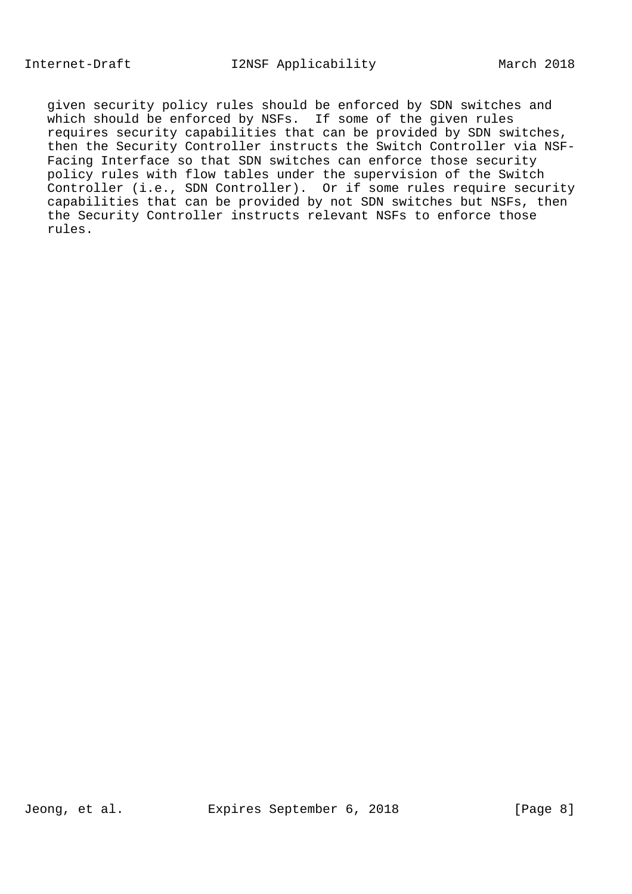given security policy rules should be enforced by SDN switches and which should be enforced by NSFs. If some of the given rules requires security capabilities that can be provided by SDN switches, then the Security Controller instructs the Switch Controller via NSF- Facing Interface so that SDN switches can enforce those security policy rules with flow tables under the supervision of the Switch Controller (i.e., SDN Controller). Or if some rules require security capabilities that can be provided by not SDN switches but NSFs, then the Security Controller instructs relevant NSFs to enforce those rules.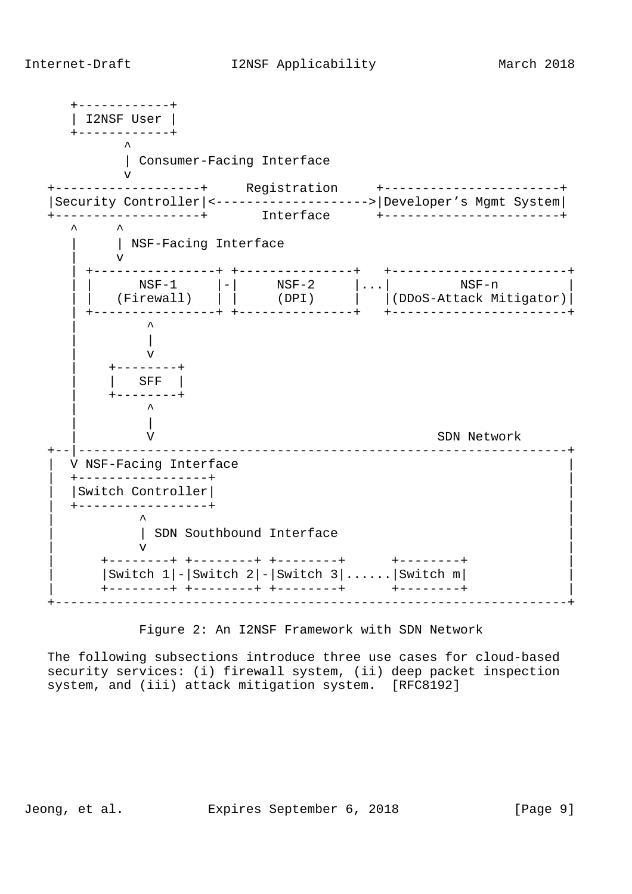Internet-Draft I2NSF Applicability March 2018

 +------------+ | I2NSF User | +------------+  $\mathcal{L}^{\mathcal{A}}$  and  $\mathcal{L}^{\mathcal{A}}$  and  $\mathcal{L}^{\mathcal{A}}$  | Consumer-Facing Interface v +-------------------+ Registration +-----------------------+ |Security Controller|<-------------------->|Developer's Mgmt System| +-------------------+ Interface +-----------------------+  $\lambda$   $\lambda$ | NSF-Facing Interface | v | +----------------+ +---------------+ +-----------------------+ | | NSF-1 |-| NSF-2 |...| NSF-n | | | (Firewall) | | (DPI) | |(DDoS-Attack Mitigator)| | +----------------+ +---------------+ +-----------------------+ | ^ | | | v | +--------+ | | SFF | | +--------+ | ^ | | V SDN Network +--|----------------------------------------------------------------+ V NSF-Facing Interface | +-----------------+ | | |Switch Controller| | | +-----------------+ | | ^ | | SDN Southbound Interface  $\mathbf v$   $\mathbf v$  | +--------+ +--------+ +--------+ +--------+ |  $|$  Switch 1 $|-|$  Switch 2 $|-|$  Switch 3 $|$ ...... $|$  Switch m $|$  | +--------+ +--------+ +--------+ +--------+ | +-------------------------------------------------------------------+

#### Figure 2: An I2NSF Framework with SDN Network

 The following subsections introduce three use cases for cloud-based security services: (i) firewall system, (ii) deep packet inspection system, and (iii) attack mitigation system. [RFC8192]

Jeong, et al. Expires September 6, 2018 [Page 9]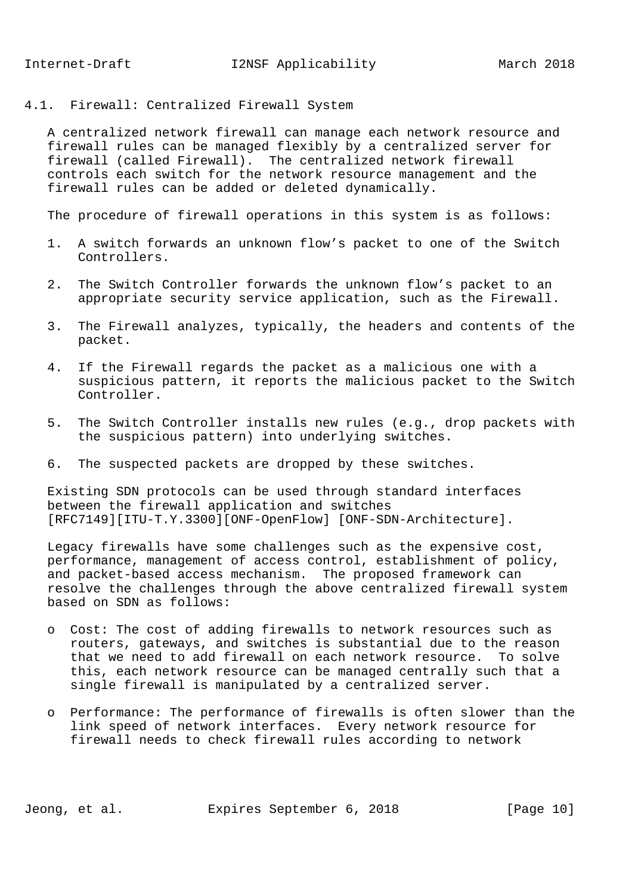4.1. Firewall: Centralized Firewall System

 A centralized network firewall can manage each network resource and firewall rules can be managed flexibly by a centralized server for firewall (called Firewall). The centralized network firewall controls each switch for the network resource management and the firewall rules can be added or deleted dynamically.

The procedure of firewall operations in this system is as follows:

- 1. A switch forwards an unknown flow's packet to one of the Switch Controllers.
- 2. The Switch Controller forwards the unknown flow's packet to an appropriate security service application, such as the Firewall.
- 3. The Firewall analyzes, typically, the headers and contents of the packet.
- 4. If the Firewall regards the packet as a malicious one with a suspicious pattern, it reports the malicious packet to the Switch Controller.
- 5. The Switch Controller installs new rules (e.g., drop packets with the suspicious pattern) into underlying switches.
- 6. The suspected packets are dropped by these switches.

 Existing SDN protocols can be used through standard interfaces between the firewall application and switches [RFC7149][ITU-T.Y.3300][ONF-OpenFlow] [ONF-SDN-Architecture].

 Legacy firewalls have some challenges such as the expensive cost, performance, management of access control, establishment of policy, and packet-based access mechanism. The proposed framework can resolve the challenges through the above centralized firewall system based on SDN as follows:

- o Cost: The cost of adding firewalls to network resources such as routers, gateways, and switches is substantial due to the reason that we need to add firewall on each network resource. To solve this, each network resource can be managed centrally such that a single firewall is manipulated by a centralized server.
- o Performance: The performance of firewalls is often slower than the link speed of network interfaces. Every network resource for firewall needs to check firewall rules according to network

Jeong, et al. Expires September 6, 2018 [Page 10]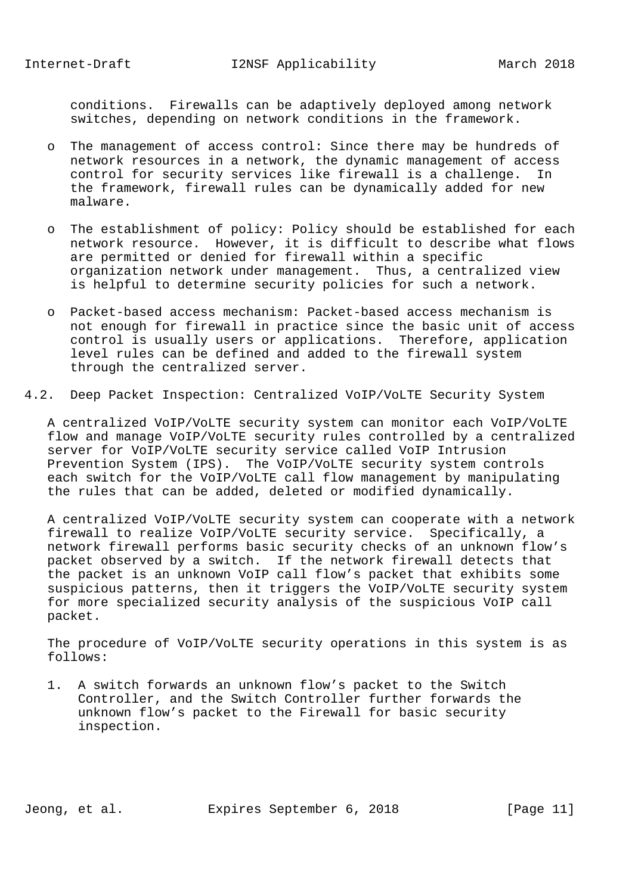conditions. Firewalls can be adaptively deployed among network switches, depending on network conditions in the framework.

- o The management of access control: Since there may be hundreds of network resources in a network, the dynamic management of access control for security services like firewall is a challenge. In the framework, firewall rules can be dynamically added for new malware.
- o The establishment of policy: Policy should be established for each network resource. However, it is difficult to describe what flows are permitted or denied for firewall within a specific organization network under management. Thus, a centralized view is helpful to determine security policies for such a network.
- o Packet-based access mechanism: Packet-based access mechanism is not enough for firewall in practice since the basic unit of access control is usually users or applications. Therefore, application level rules can be defined and added to the firewall system through the centralized server.
- 4.2. Deep Packet Inspection: Centralized VoIP/VoLTE Security System

 A centralized VoIP/VoLTE security system can monitor each VoIP/VoLTE flow and manage VoIP/VoLTE security rules controlled by a centralized server for VoIP/VoLTE security service called VoIP Intrusion Prevention System (IPS). The VoIP/VoLTE security system controls each switch for the VoIP/VoLTE call flow management by manipulating the rules that can be added, deleted or modified dynamically.

 A centralized VoIP/VoLTE security system can cooperate with a network firewall to realize VoIP/VoLTE security service. Specifically, a network firewall performs basic security checks of an unknown flow's packet observed by a switch. If the network firewall detects that the packet is an unknown VoIP call flow's packet that exhibits some suspicious patterns, then it triggers the VoIP/VoLTE security system for more specialized security analysis of the suspicious VoIP call packet.

 The procedure of VoIP/VoLTE security operations in this system is as follows:

 1. A switch forwards an unknown flow's packet to the Switch Controller, and the Switch Controller further forwards the unknown flow's packet to the Firewall for basic security inspection.

Jeong, et al. Expires September 6, 2018 [Page 11]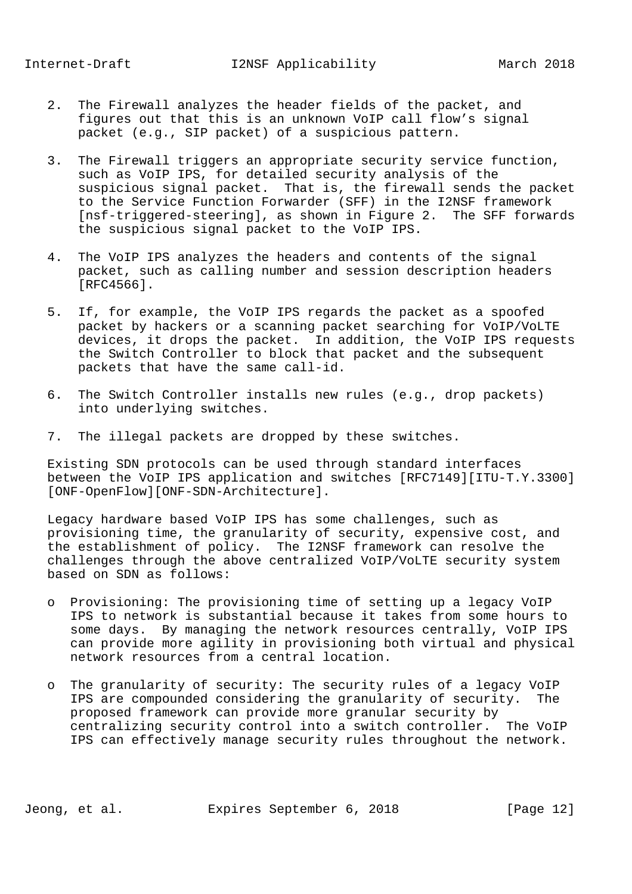- 2. The Firewall analyzes the header fields of the packet, and figures out that this is an unknown VoIP call flow's signal packet (e.g., SIP packet) of a suspicious pattern.
- 3. The Firewall triggers an appropriate security service function, such as VoIP IPS, for detailed security analysis of the suspicious signal packet. That is, the firewall sends the packet to the Service Function Forwarder (SFF) in the I2NSF framework [nsf-triggered-steering], as shown in Figure 2. The SFF forwards the suspicious signal packet to the VoIP IPS.
- 4. The VoIP IPS analyzes the headers and contents of the signal packet, such as calling number and session description headers [RFC4566].
- 5. If, for example, the VoIP IPS regards the packet as a spoofed packet by hackers or a scanning packet searching for VoIP/VoLTE devices, it drops the packet. In addition, the VoIP IPS requests the Switch Controller to block that packet and the subsequent packets that have the same call-id.
- 6. The Switch Controller installs new rules (e.g., drop packets) into underlying switches.
- 7. The illegal packets are dropped by these switches.

 Existing SDN protocols can be used through standard interfaces between the VoIP IPS application and switches [RFC7149][ITU-T.Y.3300] [ONF-OpenFlow][ONF-SDN-Architecture].

 Legacy hardware based VoIP IPS has some challenges, such as provisioning time, the granularity of security, expensive cost, and the establishment of policy. The I2NSF framework can resolve the challenges through the above centralized VoIP/VoLTE security system based on SDN as follows:

- o Provisioning: The provisioning time of setting up a legacy VoIP IPS to network is substantial because it takes from some hours to some days. By managing the network resources centrally, VoIP IPS can provide more agility in provisioning both virtual and physical network resources from a central location.
- o The granularity of security: The security rules of a legacy VoIP IPS are compounded considering the granularity of security. The proposed framework can provide more granular security by centralizing security control into a switch controller. The VoIP IPS can effectively manage security rules throughout the network.

Jeong, et al. Expires September 6, 2018 [Page 12]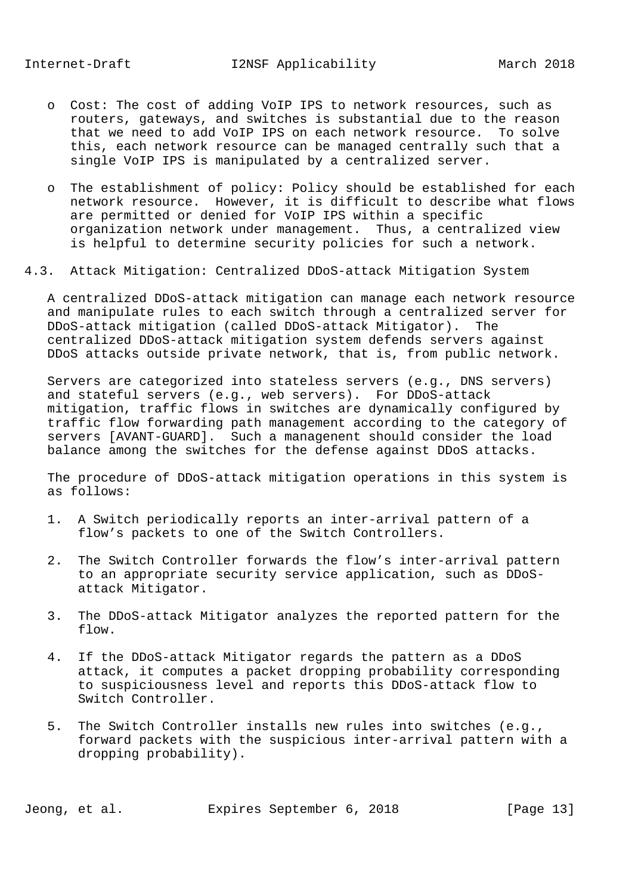- o Cost: The cost of adding VoIP IPS to network resources, such as routers, gateways, and switches is substantial due to the reason that we need to add VoIP IPS on each network resource. To solve this, each network resource can be managed centrally such that a single VoIP IPS is manipulated by a centralized server.
- o The establishment of policy: Policy should be established for each network resource. However, it is difficult to describe what flows are permitted or denied for VoIP IPS within a specific organization network under management. Thus, a centralized view is helpful to determine security policies for such a network.
- 4.3. Attack Mitigation: Centralized DDoS-attack Mitigation System

 A centralized DDoS-attack mitigation can manage each network resource and manipulate rules to each switch through a centralized server for DDoS-attack mitigation (called DDoS-attack Mitigator). The centralized DDoS-attack mitigation system defends servers against DDoS attacks outside private network, that is, from public network.

 Servers are categorized into stateless servers (e.g., DNS servers) and stateful servers (e.g., web servers). For DDoS-attack mitigation, traffic flows in switches are dynamically configured by traffic flow forwarding path management according to the category of servers [AVANT-GUARD]. Such a managenent should consider the load balance among the switches for the defense against DDoS attacks.

 The procedure of DDoS-attack mitigation operations in this system is as follows:

- 1. A Switch periodically reports an inter-arrival pattern of a flow's packets to one of the Switch Controllers.
- 2. The Switch Controller forwards the flow's inter-arrival pattern to an appropriate security service application, such as DDoS attack Mitigator.
- 3. The DDoS-attack Mitigator analyzes the reported pattern for the flow.
- 4. If the DDoS-attack Mitigator regards the pattern as a DDoS attack, it computes a packet dropping probability corresponding to suspiciousness level and reports this DDoS-attack flow to Switch Controller.
- 5. The Switch Controller installs new rules into switches (e.g., forward packets with the suspicious inter-arrival pattern with a dropping probability).

Jeong, et al. Expires September 6, 2018 [Page 13]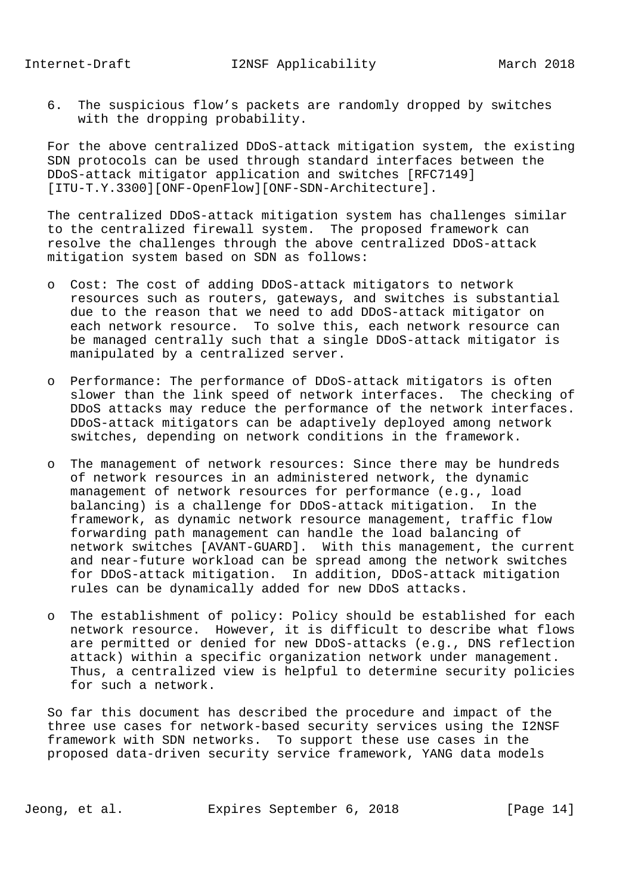6. The suspicious flow's packets are randomly dropped by switches with the dropping probability.

 For the above centralized DDoS-attack mitigation system, the existing SDN protocols can be used through standard interfaces between the DDoS-attack mitigator application and switches [RFC7149] [ITU-T.Y.3300][ONF-OpenFlow][ONF-SDN-Architecture].

 The centralized DDoS-attack mitigation system has challenges similar to the centralized firewall system. The proposed framework can resolve the challenges through the above centralized DDoS-attack mitigation system based on SDN as follows:

- o Cost: The cost of adding DDoS-attack mitigators to network resources such as routers, gateways, and switches is substantial due to the reason that we need to add DDoS-attack mitigator on each network resource. To solve this, each network resource can be managed centrally such that a single DDoS-attack mitigator is manipulated by a centralized server.
- o Performance: The performance of DDoS-attack mitigators is often slower than the link speed of network interfaces. The checking of DDoS attacks may reduce the performance of the network interfaces. DDoS-attack mitigators can be adaptively deployed among network switches, depending on network conditions in the framework.
- o The management of network resources: Since there may be hundreds of network resources in an administered network, the dynamic management of network resources for performance (e.g., load balancing) is a challenge for DDoS-attack mitigation. In the framework, as dynamic network resource management, traffic flow forwarding path management can handle the load balancing of network switches [AVANT-GUARD]. With this management, the current and near-future workload can be spread among the network switches for DDoS-attack mitigation. In addition, DDoS-attack mitigation rules can be dynamically added for new DDoS attacks.
- o The establishment of policy: Policy should be established for each network resource. However, it is difficult to describe what flows are permitted or denied for new DDoS-attacks (e.g., DNS reflection attack) within a specific organization network under management. Thus, a centralized view is helpful to determine security policies for such a network.

 So far this document has described the procedure and impact of the three use cases for network-based security services using the I2NSF framework with SDN networks. To support these use cases in the proposed data-driven security service framework, YANG data models

Jeong, et al. Expires September 6, 2018 [Page 14]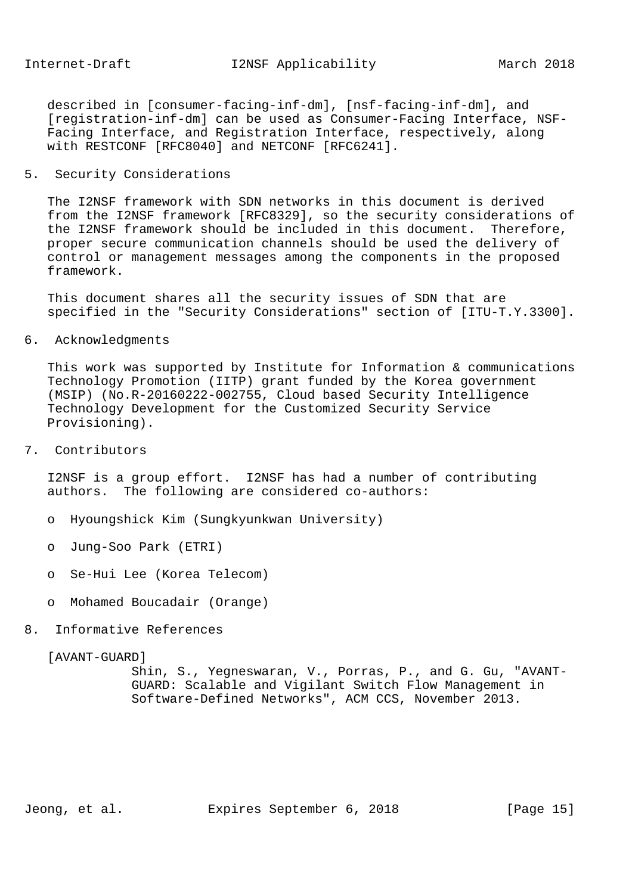described in [consumer-facing-inf-dm], [nsf-facing-inf-dm], and [registration-inf-dm] can be used as Consumer-Facing Interface, NSF- Facing Interface, and Registration Interface, respectively, along with RESTCONF [RFC8040] and NETCONF [RFC6241].

# 5. Security Considerations

 The I2NSF framework with SDN networks in this document is derived from the I2NSF framework [RFC8329], so the security considerations of the I2NSF framework should be included in this document. Therefore, proper secure communication channels should be used the delivery of control or management messages among the components in the proposed framework.

 This document shares all the security issues of SDN that are specified in the "Security Considerations" section of [ITU-T.Y.3300].

6. Acknowledgments

 This work was supported by Institute for Information & communications Technology Promotion (IITP) grant funded by the Korea government (MSIP) (No.R-20160222-002755, Cloud based Security Intelligence Technology Development for the Customized Security Service Provisioning).

7. Contributors

 I2NSF is a group effort. I2NSF has had a number of contributing authors. The following are considered co-authors:

- o Hyoungshick Kim (Sungkyunkwan University)
- o Jung-Soo Park (ETRI)
- o Se-Hui Lee (Korea Telecom)
- o Mohamed Boucadair (Orange)
- 8. Informative References

#### [AVANT-GUARD]

 Shin, S., Yegneswaran, V., Porras, P., and G. Gu, "AVANT- GUARD: Scalable and Vigilant Switch Flow Management in Software-Defined Networks", ACM CCS, November 2013.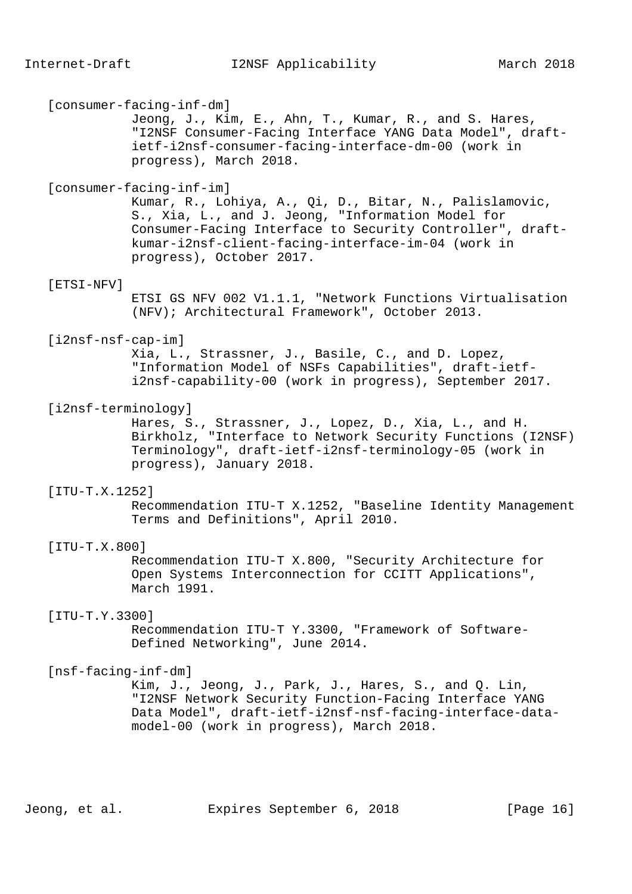[consumer-facing-inf-dm] Jeong, J., Kim, E., Ahn, T., Kumar, R., and S. Hares, "I2NSF Consumer-Facing Interface YANG Data Model", draft ietf-i2nsf-consumer-facing-interface-dm-00 (work in progress), March 2018. [consumer-facing-inf-im] Kumar, R., Lohiya, A., Qi, D., Bitar, N., Palislamovic, S., Xia, L., and J. Jeong, "Information Model for Consumer-Facing Interface to Security Controller", draft kumar-i2nsf-client-facing-interface-im-04 (work in progress), October 2017. [ETSI-NFV] ETSI GS NFV 002 V1.1.1, "Network Functions Virtualisation (NFV); Architectural Framework", October 2013. [i2nsf-nsf-cap-im] Xia, L., Strassner, J., Basile, C., and D. Lopez, "Information Model of NSFs Capabilities", draft-ietf i2nsf-capability-00 (work in progress), September 2017. [i2nsf-terminology] Hares, S., Strassner, J., Lopez, D., Xia, L., and H. Birkholz, "Interface to Network Security Functions (I2NSF) Terminology", draft-ietf-i2nsf-terminology-05 (work in progress), January 2018. [ITU-T.X.1252] Recommendation ITU-T X.1252, "Baseline Identity Management Terms and Definitions", April 2010. [ITU-T.X.800] Recommendation ITU-T X.800, "Security Architecture for Open Systems Interconnection for CCITT Applications", March 1991. [ITU-T.Y.3300] Recommendation ITU-T Y.3300, "Framework of Software- Defined Networking", June 2014. [nsf-facing-inf-dm] Kim, J., Jeong, J., Park, J., Hares, S., and Q. Lin, "I2NSF Network Security Function-Facing Interface YANG Data Model", draft-ietf-i2nsf-nsf-facing-interface-data model-00 (work in progress), March 2018. Jeong, et al. Expires September 6, 2018 [Page 16]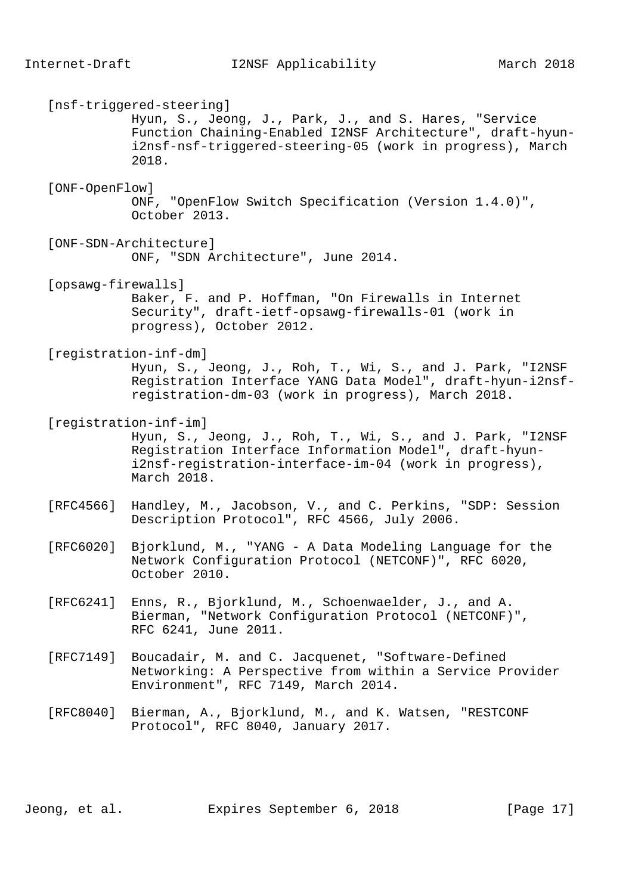[nsf-triggered-steering] Hyun, S., Jeong, J., Park, J., and S. Hares, "Service Function Chaining-Enabled I2NSF Architecture", draft-hyun i2nsf-nsf-triggered-steering-05 (work in progress), March 2018. [ONF-OpenFlow] ONF, "OpenFlow Switch Specification (Version 1.4.0)", October 2013. [ONF-SDN-Architecture] ONF, "SDN Architecture", June 2014. [opsawg-firewalls] Baker, F. and P. Hoffman, "On Firewalls in Internet Security", draft-ietf-opsawg-firewalls-01 (work in progress), October 2012. [registration-inf-dm] Hyun, S., Jeong, J., Roh, T., Wi, S., and J. Park, "I2NSF Registration Interface YANG Data Model", draft-hyun-i2nsf registration-dm-03 (work in progress), March 2018. [registration-inf-im] Hyun, S., Jeong, J., Roh, T., Wi, S., and J. Park, "I2NSF Registration Interface Information Model", draft-hyun i2nsf-registration-interface-im-04 (work in progress), March 2018. [RFC4566] Handley, M., Jacobson, V., and C. Perkins, "SDP: Session Description Protocol", RFC 4566, July 2006. [RFC6020] Bjorklund, M., "YANG - A Data Modeling Language for the Network Configuration Protocol (NETCONF)", RFC 6020, October 2010. [RFC6241] Enns, R., Bjorklund, M., Schoenwaelder, J., and A. Bierman, "Network Configuration Protocol (NETCONF)", RFC 6241, June 2011. [RFC7149] Boucadair, M. and C. Jacquenet, "Software-Defined Networking: A Perspective from within a Service Provider Environment", RFC 7149, March 2014. [RFC8040] Bierman, A., Bjorklund, M., and K. Watsen, "RESTCONF Protocol", RFC 8040, January 2017.

Jeong, et al. Expires September 6, 2018 [Page 17]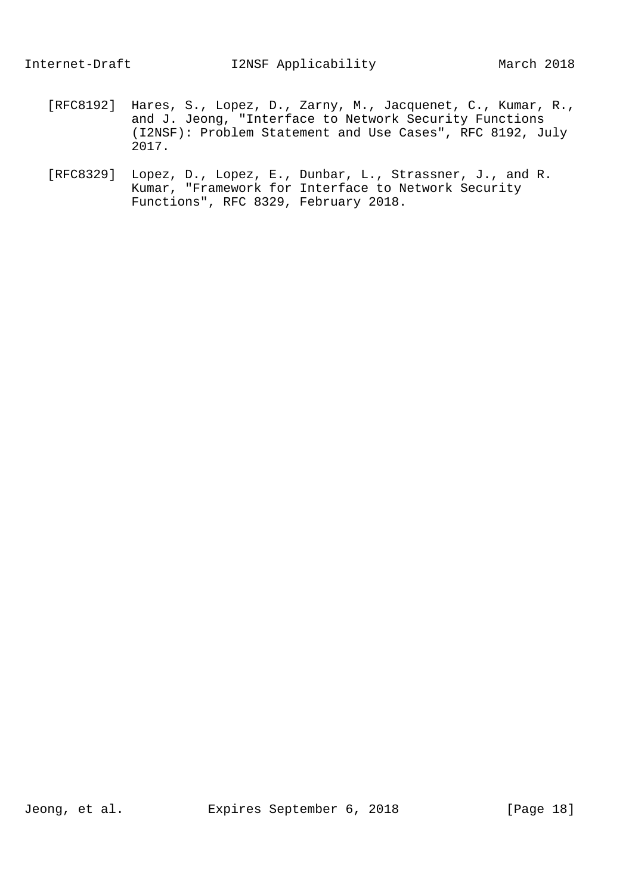- [RFC8192] Hares, S., Lopez, D., Zarny, M., Jacquenet, C., Kumar, R., and J. Jeong, "Interface to Network Security Functions (I2NSF): Problem Statement and Use Cases", RFC 8192, July 2017.
- [RFC8329] Lopez, D., Lopez, E., Dunbar, L., Strassner, J., and R. Kumar, "Framework for Interface to Network Security Functions", RFC 8329, February 2018.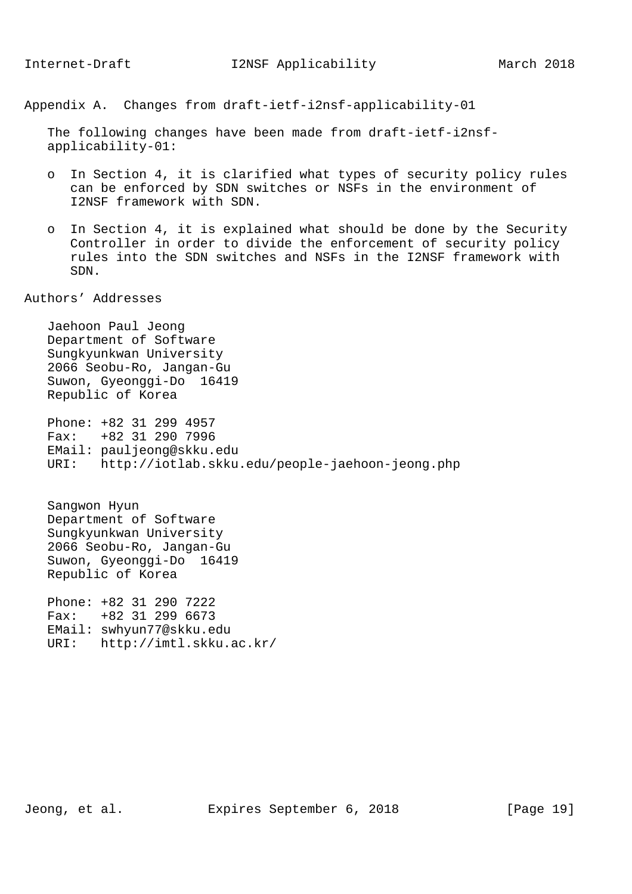Appendix A. Changes from draft-ietf-i2nsf-applicability-01

 The following changes have been made from draft-ietf-i2nsf applicability-01:

- o In Section 4, it is clarified what types of security policy rules can be enforced by SDN switches or NSFs in the environment of I2NSF framework with SDN.
- o In Section 4, it is explained what should be done by the Security Controller in order to divide the enforcement of security policy rules into the SDN switches and NSFs in the I2NSF framework with SDN.

Authors' Addresses

 Jaehoon Paul Jeong Department of Software Sungkyunkwan University 2066 Seobu-Ro, Jangan-Gu Suwon, Gyeonggi-Do 16419 Republic of Korea

 Phone: +82 31 299 4957 Fax: +82 31 290 7996 EMail: pauljeong@skku.edu URI: http://iotlab.skku.edu/people-jaehoon-jeong.php

 Sangwon Hyun Department of Software Sungkyunkwan University 2066 Seobu-Ro, Jangan-Gu Suwon, Gyeonggi-Do 16419 Republic of Korea

 Phone: +82 31 290 7222 Fax: +82 31 299 6673 EMail: swhyun77@skku.edu URI: http://imtl.skku.ac.kr/

Jeong, et al. Expires September 6, 2018 [Page 19]